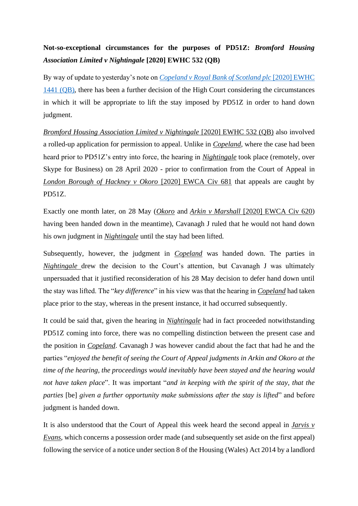## **Not-so-exceptional circumstances for the purposes of PD51Z:** *Bromford Housing Association Limited v Nightingale* **[2020] EWHC 532 (QB)**

By way of update to yesterday's note on *[Copeland v Royal Bank of Scotland plc](https://www.falcon-chambers.com/publications/articles/exceptional-circumstances-for-the-purposes-of-pd51z-copeland-v-bank-of-scot)* [2020] EWHC [1441 \(QB\),](https://www.falcon-chambers.com/publications/articles/exceptional-circumstances-for-the-purposes-of-pd51z-copeland-v-bank-of-scot) there has been a further decision of the High Court considering the circumstances in which it will be appropriate to lift the stay imposed by PD51Z in order to hand down judgment.

*Bromford Housing Association Limited v Nightingale* [2020] EWHC 532 (QB) also involved a rolled-up application for permission to appeal. Unlike in *Copeland*, where the case had been heard prior to PD51Z's entry into force, the hearing in *Nightingale* took place (remotely, over Skype for Business) on 28 April 2020 - prior to confirmation from the Court of Appeal in *London Borough of Hackney v Okoro* [2020] EWCA Civ 681 that appeals are caught by PD51Z.

Exactly one month later, on 28 May (*Okoro* and *Arkin v Marshall* [2020] EWCA Civ 620) having been handed down in the meantime), Cavanagh J ruled that he would not hand down his own judgment in *Nightingale* until the stay had been lifted.

Subsequently, however, the judgment in *Copeland* was handed down. The parties in *Nightingale* drew the decision to the Court's attention, but Cavanagh J was ultimately unpersuaded that it justified reconsideration of his 28 May decision to defer hand down until the stay was lifted. The "*key difference*" in his view was that the hearing in *Copeland* had taken place prior to the stay, whereas in the present instance, it had occurred subsequently.

It could be said that, given the hearing in *Nightingale* had in fact proceeded notwithstanding PD51Z coming into force, there was no compelling distinction between the present case and the position in *Copeland*. Cavanagh J was however candid about the fact that had he and the parties "*enjoyed the benefit of seeing the Court of Appeal judgments in Arkin and Okoro at the time of the hearing, the proceedings would inevitably have been stayed and the hearing would not have taken place*". It was important "*and in keeping with the spirit of the stay, that the parties* [be] *given a further opportunity make submissions after the stay is lifted*" and before judgment is handed down.

It is also understood that the Court of Appeal this week heard the second appeal in *Jarvis v Evans*, which concerns a possession order made (and subsequently set aside on the first appeal) following the service of a notice under section 8 of the Housing (Wales) Act 2014 by a landlord